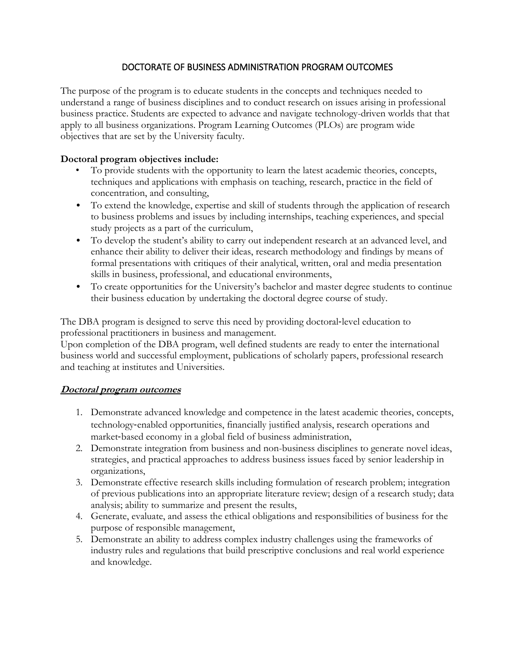# DOCTORATE OF BUSINESS ADMINISTRATION PROGRAM OUTCOMES

The purpose of the program is to educate students in the concepts and techniques needed to understand a range of business disciplines and to conduct research on issues arising in professional business practice. Students are expected to advance and navigate technology-driven worlds that that apply to all business organizations. Program Learning Outcomes (PLOs) are program wide objectives that are set by the University faculty.

## **Doctoral program objectives include:**

- To provide students with the opportunity to learn the latest academic theories, concepts, techniques and applications with emphasis on teaching, research, practice in the field of concentration, and consulting,
- To extend the knowledge, expertise and skill of students through the application of research to business problems and issues by including internships, teaching experiences, and special study projects as a part of the curriculum,
- To develop the student's ability to carry out independent research at an advanced level, and enhance their ability to deliver their ideas, research methodology and findings by means of formal presentations with critiques of their analytical, written, oral and media presentation skills in business, professional, and educational environments,
- To create opportunities for the University's bachelor and master degree students to continue their business education by undertaking the doctoral degree course of study.

The DBA program is designed to serve this need by providing doctoral-level education to professional practitioners in business and management.

Upon completion of the DBA program, well defined students are ready to enter the international business world and successful employment, publications of scholarly papers, professional research and teaching at institutes and Universities.

## **Doctoral program outcomes**

- 1. Demonstrate advanced knowledge and competence in the latest academic theories, concepts, technology-enabled opportunities, financially justified analysis, research operations and market-based economy in a global field of business administration,
- 2. Demonstrate integration from business and non-business disciplines to generate novel ideas, strategies, and practical approaches to address business issues faced by senior leadership in organizations,
- 3. Demonstrate effective research skills including formulation of research problem; integration of previous publications into an appropriate literature review; design of a research study; data analysis; ability to summarize and present the results,
- 4. Generate, evaluate, and assess the ethical obligations and responsibilities of business for the purpose of responsible management,
- 5. Demonstrate an ability to address complex industry challenges using the frameworks of industry rules and regulations that build prescriptive conclusions and real world experience and knowledge.